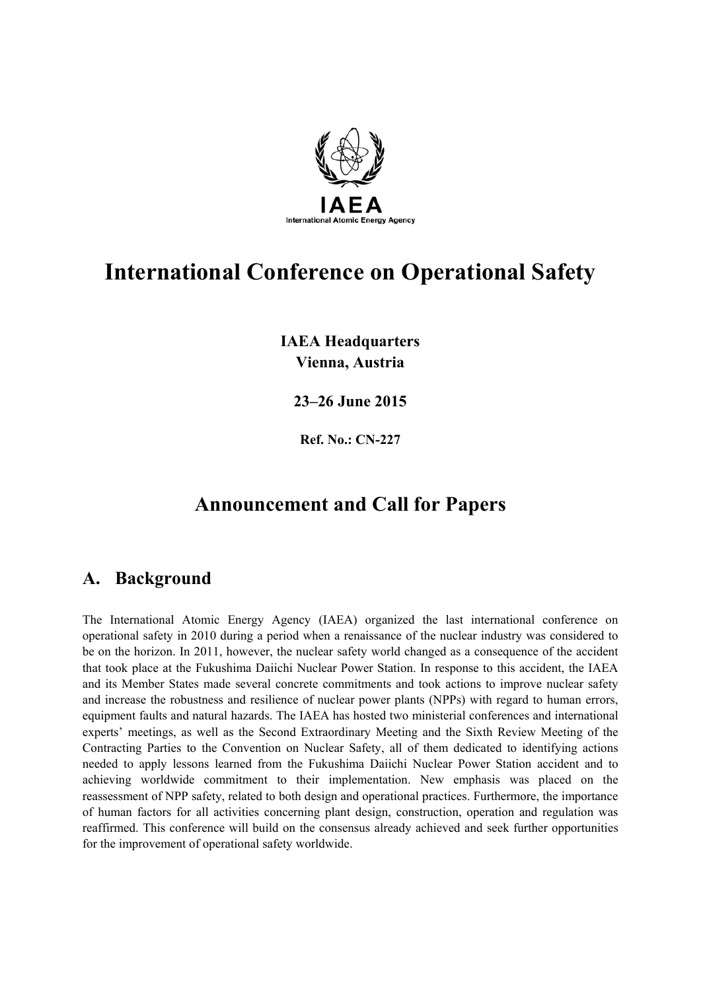

# **International Conference on Operational Safety**

**IAEA Headquarters Vienna, Austria** 

**23–26 June 2015** 

**Ref. No.: CN-227** 

# **Announcement and Call for Papers**

## **A. Background**

The International Atomic Energy Agency (IAEA) organized the last international conference on operational safety in 2010 during a period when a renaissance of the nuclear industry was considered to be on the horizon. In 2011, however, the nuclear safety world changed as a consequence of the accident that took place at the Fukushima Daiichi Nuclear Power Station. In response to this accident, the IAEA and its Member States made several concrete commitments and took actions to improve nuclear safety and increase the robustness and resilience of nuclear power plants (NPPs) with regard to human errors, equipment faults and natural hazards. The IAEA has hosted two ministerial conferences and international experts' meetings, as well as the Second Extraordinary Meeting and the Sixth Review Meeting of the Contracting Parties to the Convention on Nuclear Safety, all of them dedicated to identifying actions needed to apply lessons learned from the Fukushima Daiichi Nuclear Power Station accident and to achieving worldwide commitment to their implementation. New emphasis was placed on the reassessment of NPP safety, related to both design and operational practices. Furthermore, the importance of human factors for all activities concerning plant design, construction, operation and regulation was reaffirmed. This conference will build on the consensus already achieved and seek further opportunities for the improvement of operational safety worldwide.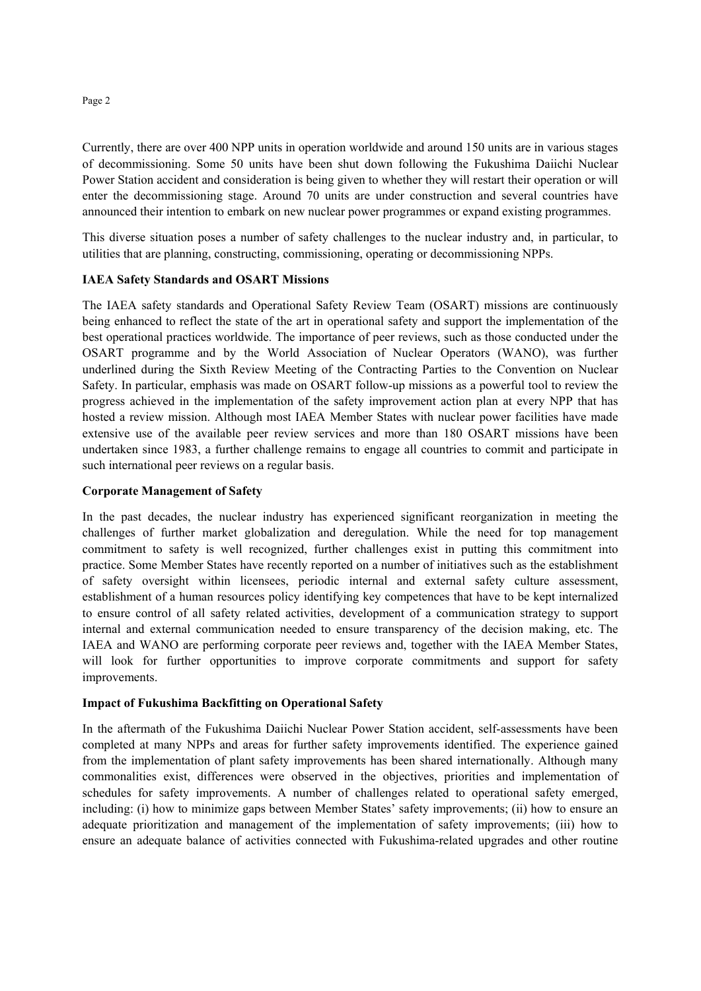Currently, there are over 400 NPP units in operation worldwide and around 150 units are in various stages of decommissioning. Some 50 units have been shut down following the Fukushima Daiichi Nuclear Power Station accident and consideration is being given to whether they will restart their operation or will enter the decommissioning stage. Around 70 units are under construction and several countries have announced their intention to embark on new nuclear power programmes or expand existing programmes.

This diverse situation poses a number of safety challenges to the nuclear industry and, in particular, to utilities that are planning, constructing, commissioning, operating or decommissioning NPPs.

#### **IAEA Safety Standards and OSART Missions**

The IAEA safety standards and Operational Safety Review Team (OSART) missions are continuously being enhanced to reflect the state of the art in operational safety and support the implementation of the best operational practices worldwide. The importance of peer reviews, such as those conducted under the OSART programme and by the World Association of Nuclear Operators (WANO), was further underlined during the Sixth Review Meeting of the Contracting Parties to the Convention on Nuclear Safety. In particular, emphasis was made on OSART follow-up missions as a powerful tool to review the progress achieved in the implementation of the safety improvement action plan at every NPP that has hosted a review mission. Although most IAEA Member States with nuclear power facilities have made extensive use of the available peer review services and more than 180 OSART missions have been undertaken since 1983, a further challenge remains to engage all countries to commit and participate in such international peer reviews on a regular basis.

#### **Corporate Management of Safety**

In the past decades, the nuclear industry has experienced significant reorganization in meeting the challenges of further market globalization and deregulation. While the need for top management commitment to safety is well recognized, further challenges exist in putting this commitment into practice. Some Member States have recently reported on a number of initiatives such as the establishment of safety oversight within licensees, periodic internal and external safety culture assessment, establishment of a human resources policy identifying key competences that have to be kept internalized to ensure control of all safety related activities, development of a communication strategy to support internal and external communication needed to ensure transparency of the decision making, etc. The IAEA and WANO are performing corporate peer reviews and, together with the IAEA Member States, will look for further opportunities to improve corporate commitments and support for safety improvements.

#### **Impact of Fukushima Backfitting on Operational Safety**

In the aftermath of the Fukushima Daiichi Nuclear Power Station accident, self-assessments have been completed at many NPPs and areas for further safety improvements identified. The experience gained from the implementation of plant safety improvements has been shared internationally. Although many commonalities exist, differences were observed in the objectives, priorities and implementation of schedules for safety improvements. A number of challenges related to operational safety emerged, including: (i) how to minimize gaps between Member States' safety improvements; (ii) how to ensure an adequate prioritization and management of the implementation of safety improvements; (iii) how to ensure an adequate balance of activities connected with Fukushima-related upgrades and other routine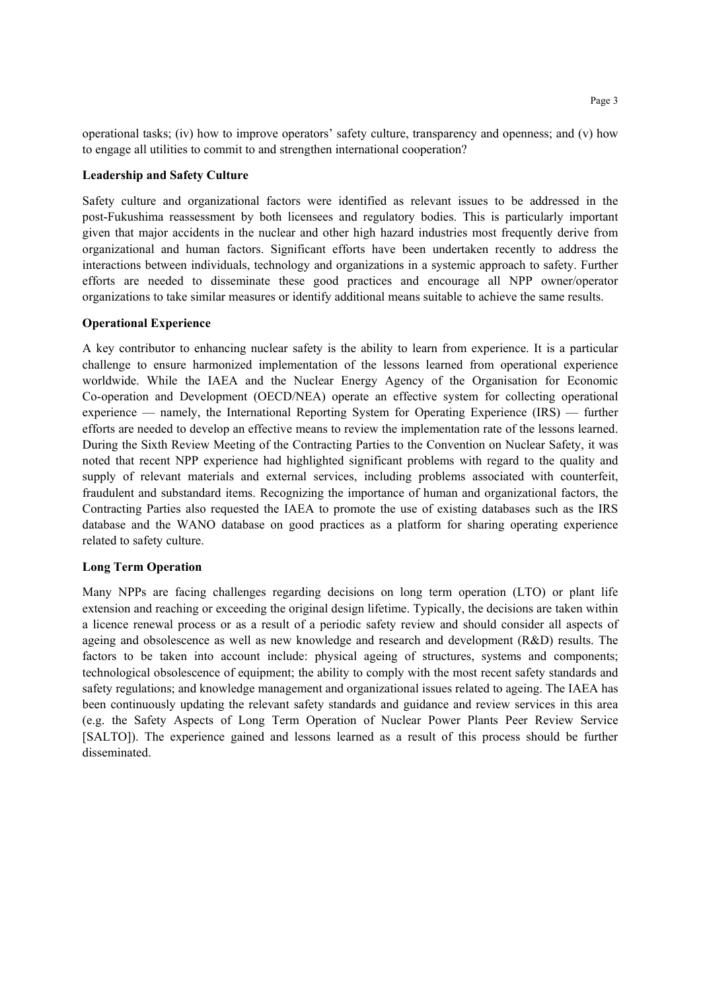Page 3

operational tasks; (iv) how to improve operators' safety culture, transparency and openness; and (v) how to engage all utilities to commit to and strengthen international cooperation?

#### **Leadership and Safety Culture**

Safety culture and organizational factors were identified as relevant issues to be addressed in the post-Fukushima reassessment by both licensees and regulatory bodies. This is particularly important given that major accidents in the nuclear and other high hazard industries most frequently derive from organizational and human factors. Significant efforts have been undertaken recently to address the interactions between individuals, technology and organizations in a systemic approach to safety. Further efforts are needed to disseminate these good practices and encourage all NPP owner/operator organizations to take similar measures or identify additional means suitable to achieve the same results.

#### **Operational Experience**

A key contributor to enhancing nuclear safety is the ability to learn from experience. It is a particular challenge to ensure harmonized implementation of the lessons learned from operational experience worldwide. While the IAEA and the Nuclear Energy Agency of the Organisation for Economic Co-operation and Development (OECD/NEA) operate an effective system for collecting operational experience — namely, the International Reporting System for Operating Experience (IRS) — further efforts are needed to develop an effective means to review the implementation rate of the lessons learned. During the Sixth Review Meeting of the Contracting Parties to the Convention on Nuclear Safety, it was noted that recent NPP experience had highlighted significant problems with regard to the quality and supply of relevant materials and external services, including problems associated with counterfeit, fraudulent and substandard items. Recognizing the importance of human and organizational factors, the Contracting Parties also requested the IAEA to promote the use of existing databases such as the IRS database and the WANO database on good practices as a platform for sharing operating experience related to safety culture.

#### **Long Term Operation**

Many NPPs are facing challenges regarding decisions on long term operation (LTO) or plant life extension and reaching or exceeding the original design lifetime. Typically, the decisions are taken within a licence renewal process or as a result of a periodic safety review and should consider all aspects of ageing and obsolescence as well as new knowledge and research and development (R&D) results. The factors to be taken into account include: physical ageing of structures, systems and components; technological obsolescence of equipment; the ability to comply with the most recent safety standards and safety regulations; and knowledge management and organizational issues related to ageing. The IAEA has been continuously updating the relevant safety standards and guidance and review services in this area (e.g. the Safety Aspects of Long Term Operation of Nuclear Power Plants Peer Review Service [SALTO]). The experience gained and lessons learned as a result of this process should be further disseminated.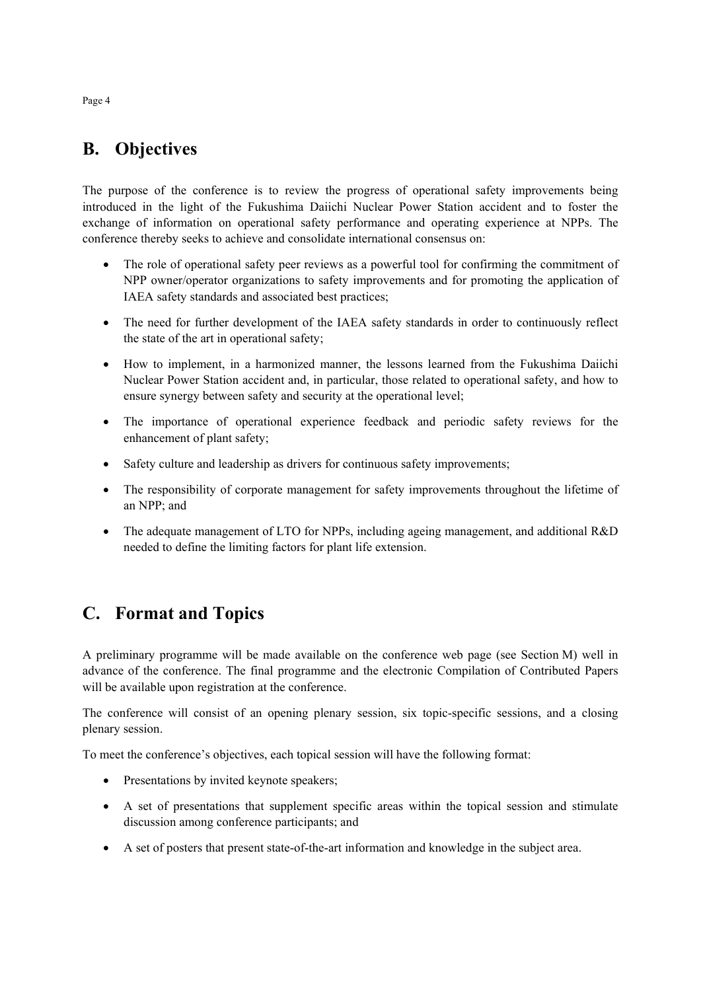# **B. Objectives**

The purpose of the conference is to review the progress of operational safety improvements being introduced in the light of the Fukushima Daiichi Nuclear Power Station accident and to foster the exchange of information on operational safety performance and operating experience at NPPs. The conference thereby seeks to achieve and consolidate international consensus on:

- The role of operational safety peer reviews as a powerful tool for confirming the commitment of NPP owner/operator organizations to safety improvements and for promoting the application of IAEA safety standards and associated best practices;
- The need for further development of the IAEA safety standards in order to continuously reflect the state of the art in operational safety;
- How to implement, in a harmonized manner, the lessons learned from the Fukushima Daiichi Nuclear Power Station accident and, in particular, those related to operational safety, and how to ensure synergy between safety and security at the operational level;
- The importance of operational experience feedback and periodic safety reviews for the enhancement of plant safety;
- Safety culture and leadership as drivers for continuous safety improvements;
- The responsibility of corporate management for safety improvements throughout the lifetime of an NPP; and
- The adequate management of LTO for NPPs, including ageing management, and additional R&D needed to define the limiting factors for plant life extension.

# **C. Format and Topics**

A preliminary programme will be made available on the conference web page (see Section M) well in advance of the conference. The final programme and the electronic Compilation of Contributed Papers will be available upon registration at the conference.

The conference will consist of an opening plenary session, six topic-specific sessions, and a closing plenary session.

To meet the conference's objectives, each topical session will have the following format:

- Presentations by invited keynote speakers;
- A set of presentations that supplement specific areas within the topical session and stimulate discussion among conference participants; and
- A set of posters that present state-of-the-art information and knowledge in the subject area.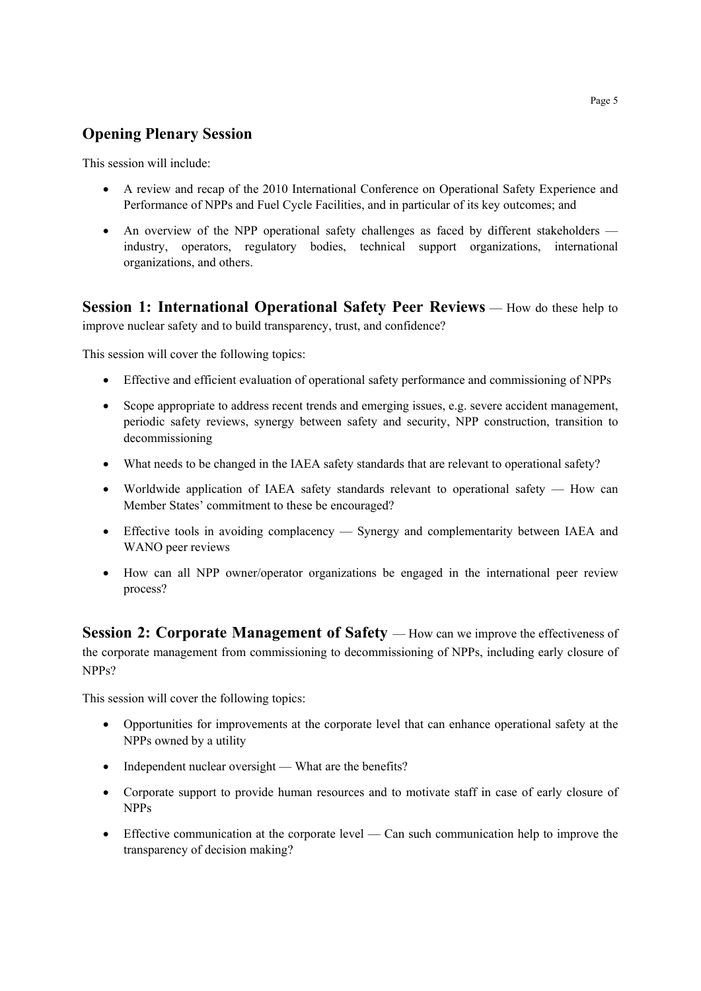## **Opening Plenary Session**

This session will include:

- A review and recap of the 2010 International Conference on Operational Safety Experience and Performance of NPPs and Fuel Cycle Facilities, and in particular of its key outcomes; and
- An overview of the NPP operational safety challenges as faced by different stakeholders industry, operators, regulatory bodies, technical support organizations, international organizations, and others.

**Session 1: International Operational Safety Peer Reviews** — How do these help to improve nuclear safety and to build transparency, trust, and confidence?

This session will cover the following topics:

- Effective and efficient evaluation of operational safety performance and commissioning of NPPs
- Scope appropriate to address recent trends and emerging issues, e.g. severe accident management, periodic safety reviews, synergy between safety and security, NPP construction, transition to decommissioning
- What needs to be changed in the IAEA safety standards that are relevant to operational safety?
- Worldwide application of IAEA safety standards relevant to operational safety How can Member States' commitment to these be encouraged?
- Effective tools in avoiding complacency Synergy and complementarity between IAEA and WANO peer reviews
- How can all NPP owner/operator organizations be engaged in the international peer review process?

**Session 2: Corporate Management of Safety** — How can we improve the effectiveness of the corporate management from commissioning to decommissioning of NPPs, including early closure of NPPs?

This session will cover the following topics:

- Opportunities for improvements at the corporate level that can enhance operational safety at the NPPs owned by a utility
- Independent nuclear oversight What are the benefits?
- Corporate support to provide human resources and to motivate staff in case of early closure of NPPs
- Effective communication at the corporate level Can such communication help to improve the transparency of decision making?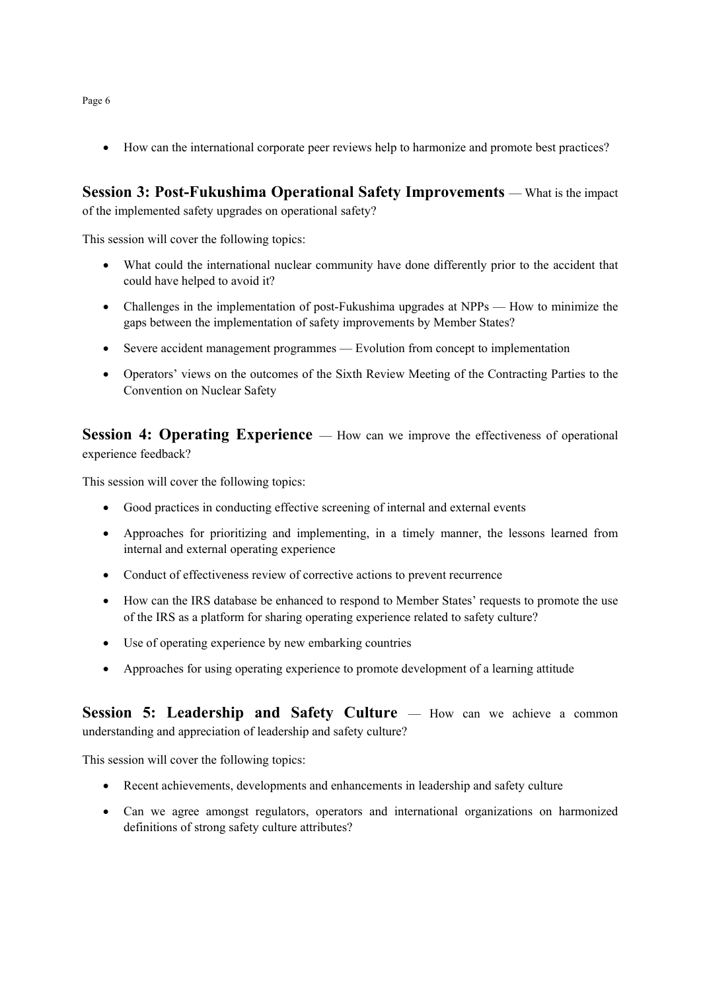How can the international corporate peer reviews help to harmonize and promote best practices?

**Session 3: Post-Fukushima Operational Safety Improvements** — What is the impact of the implemented safety upgrades on operational safety?

This session will cover the following topics:

- What could the international nuclear community have done differently prior to the accident that could have helped to avoid it?
- Challenges in the implementation of post-Fukushima upgrades at NPPs How to minimize the gaps between the implementation of safety improvements by Member States?
- Severe accident management programmes Evolution from concept to implementation
- Operators' views on the outcomes of the Sixth Review Meeting of the Contracting Parties to the Convention on Nuclear Safety

**Session 4: Operating Experience** — How can we improve the effectiveness of operational experience feedback?

This session will cover the following topics:

- Good practices in conducting effective screening of internal and external events
- Approaches for prioritizing and implementing, in a timely manner, the lessons learned from internal and external operating experience
- Conduct of effectiveness review of corrective actions to prevent recurrence
- How can the IRS database be enhanced to respond to Member States' requests to promote the use of the IRS as a platform for sharing operating experience related to safety culture?
- Use of operating experience by new embarking countries
- Approaches for using operating experience to promote development of a learning attitude

**Session 5: Leadership and Safety Culture** — How can we achieve a common understanding and appreciation of leadership and safety culture?

This session will cover the following topics:

- Recent achievements, developments and enhancements in leadership and safety culture
- Can we agree amongst regulators, operators and international organizations on harmonized definitions of strong safety culture attributes?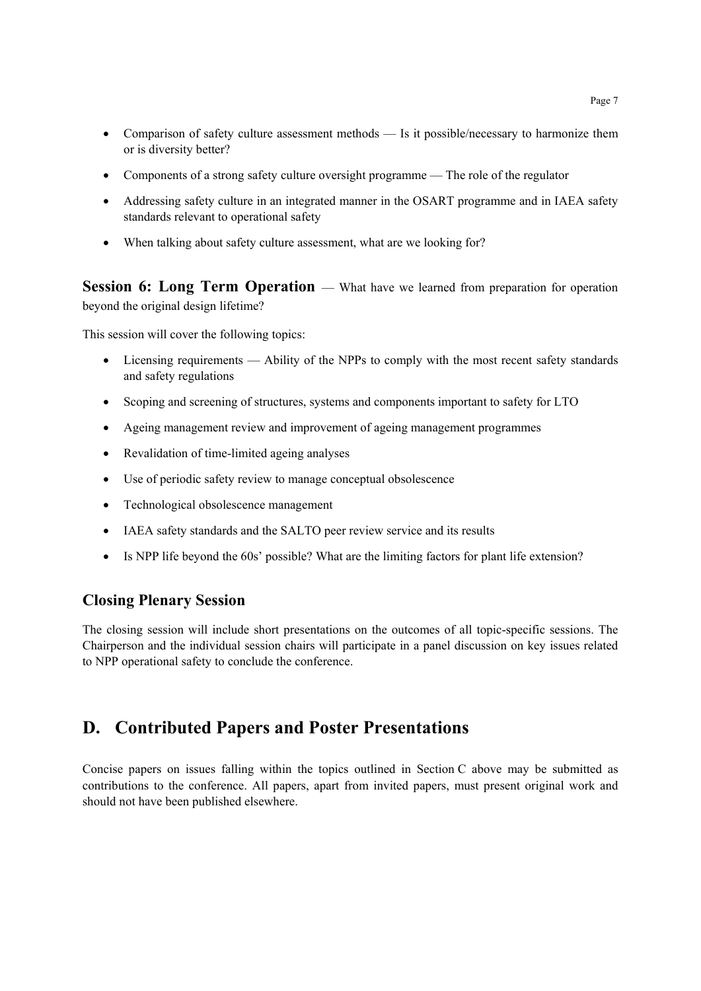- Comparison of safety culture assessment methods Is it possible/necessary to harmonize them or is diversity better?
- Components of a strong safety culture oversight programme The role of the regulator
- Addressing safety culture in an integrated manner in the OSART programme and in IAEA safety standards relevant to operational safety
- When talking about safety culture assessment, what are we looking for?

**Session 6: Long Term Operation** — What have we learned from preparation for operation beyond the original design lifetime?

This session will cover the following topics:

- Licensing requirements Ability of the NPPs to comply with the most recent safety standards and safety regulations
- Scoping and screening of structures, systems and components important to safety for LTO
- Ageing management review and improvement of ageing management programmes
- Revalidation of time-limited ageing analyses
- Use of periodic safety review to manage conceptual obsolescence
- Technological obsolescence management
- IAEA safety standards and the SALTO peer review service and its results
- Is NPP life beyond the 60s' possible? What are the limiting factors for plant life extension?

#### **Closing Plenary Session**

The closing session will include short presentations on the outcomes of all topic-specific sessions. The Chairperson and the individual session chairs will participate in a panel discussion on key issues related to NPP operational safety to conclude the conference.

# **D. Contributed Papers and Poster Presentations**

Concise papers on issues falling within the topics outlined in Section C above may be submitted as contributions to the conference. All papers, apart from invited papers, must present original work and should not have been published elsewhere.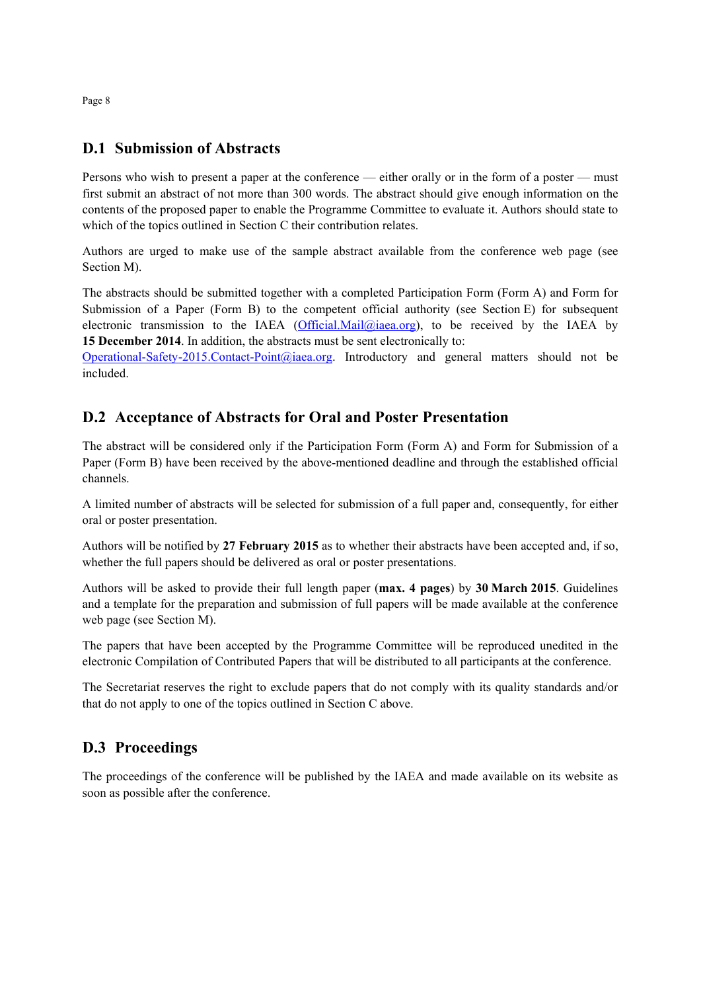## **D.1 Submission of Abstracts**

Persons who wish to present a paper at the conference — either orally or in the form of a poster — must first submit an abstract of not more than 300 words. The abstract should give enough information on the contents of the proposed paper to enable the Programme Committee to evaluate it. Authors should state to which of the topics outlined in Section C their contribution relates.

Authors are urged to make use of the sample abstract available from the conference web page (see Section M).

The abstracts should be submitted together with a completed Participation Form (Form A) and Form for Submission of a Paper (Form B) to the competent official authority (see Section E) for subsequent electronic transmission to the IAEA (Official.Mail@iaea.org), to be received by the IAEA by **15 December 2014**. In addition, the abstracts must be sent electronically to:

Operational-Safety-2015.Contact-Point@iaea.org. Introductory and general matters should not be included.

## **D.2 Acceptance of Abstracts for Oral and Poster Presentation**

The abstract will be considered only if the Participation Form (Form A) and Form for Submission of a Paper (Form B) have been received by the above-mentioned deadline and through the established official channels.

A limited number of abstracts will be selected for submission of a full paper and, consequently, for either oral or poster presentation.

Authors will be notified by **27 February 2015** as to whether their abstracts have been accepted and, if so, whether the full papers should be delivered as oral or poster presentations.

Authors will be asked to provide their full length paper (**max. 4 pages**) by **30 March 2015**. Guidelines and a template for the preparation and submission of full papers will be made available at the conference web page (see Section M).

The papers that have been accepted by the Programme Committee will be reproduced unedited in the electronic Compilation of Contributed Papers that will be distributed to all participants at the conference.

The Secretariat reserves the right to exclude papers that do not comply with its quality standards and/or that do not apply to one of the topics outlined in Section C above.

### **D.3 Proceedings**

The proceedings of the conference will be published by the IAEA and made available on its website as soon as possible after the conference.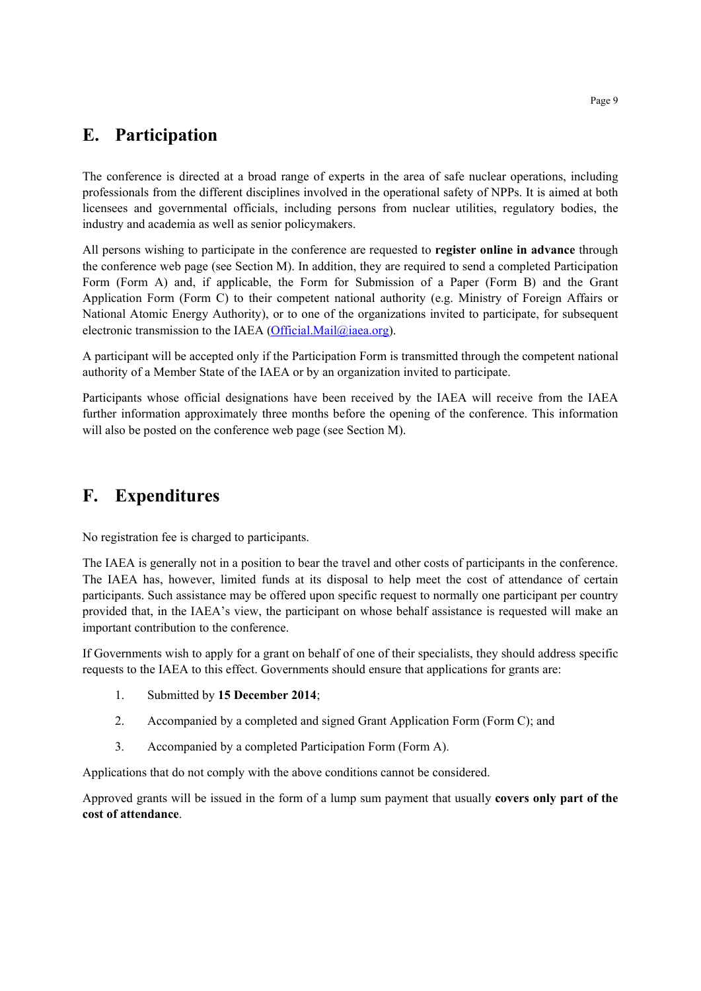## **E. Participation**

The conference is directed at a broad range of experts in the area of safe nuclear operations, including professionals from the different disciplines involved in the operational safety of NPPs. It is aimed at both licensees and governmental officials, including persons from nuclear utilities, regulatory bodies, the industry and academia as well as senior policymakers.

All persons wishing to participate in the conference are requested to **register online in advance** through the conference web page (see Section M). In addition, they are required to send a completed Participation Form (Form A) and, if applicable, the Form for Submission of a Paper (Form B) and the Grant Application Form (Form C) to their competent national authority (e.g. Ministry of Foreign Affairs or National Atomic Energy Authority), or to one of the organizations invited to participate, for subsequent electronic transmission to the IAEA (Official.Mail $@i$ iaea.org).

A participant will be accepted only if the Participation Form is transmitted through the competent national authority of a Member State of the IAEA or by an organization invited to participate.

Participants whose official designations have been received by the IAEA will receive from the IAEA further information approximately three months before the opening of the conference. This information will also be posted on the conference web page (see Section M).

# **F. Expenditures**

No registration fee is charged to participants.

The IAEA is generally not in a position to bear the travel and other costs of participants in the conference. The IAEA has, however, limited funds at its disposal to help meet the cost of attendance of certain participants. Such assistance may be offered upon specific request to normally one participant per country provided that, in the IAEA's view, the participant on whose behalf assistance is requested will make an important contribution to the conference.

If Governments wish to apply for a grant on behalf of one of their specialists, they should address specific requests to the IAEA to this effect. Governments should ensure that applications for grants are:

- 1. Submitted by **15 December 2014**;
- 2. Accompanied by a completed and signed Grant Application Form (Form C); and
- 3. Accompanied by a completed Participation Form (Form A).

Applications that do not comply with the above conditions cannot be considered.

Approved grants will be issued in the form of a lump sum payment that usually **covers only part of the cost of attendance**.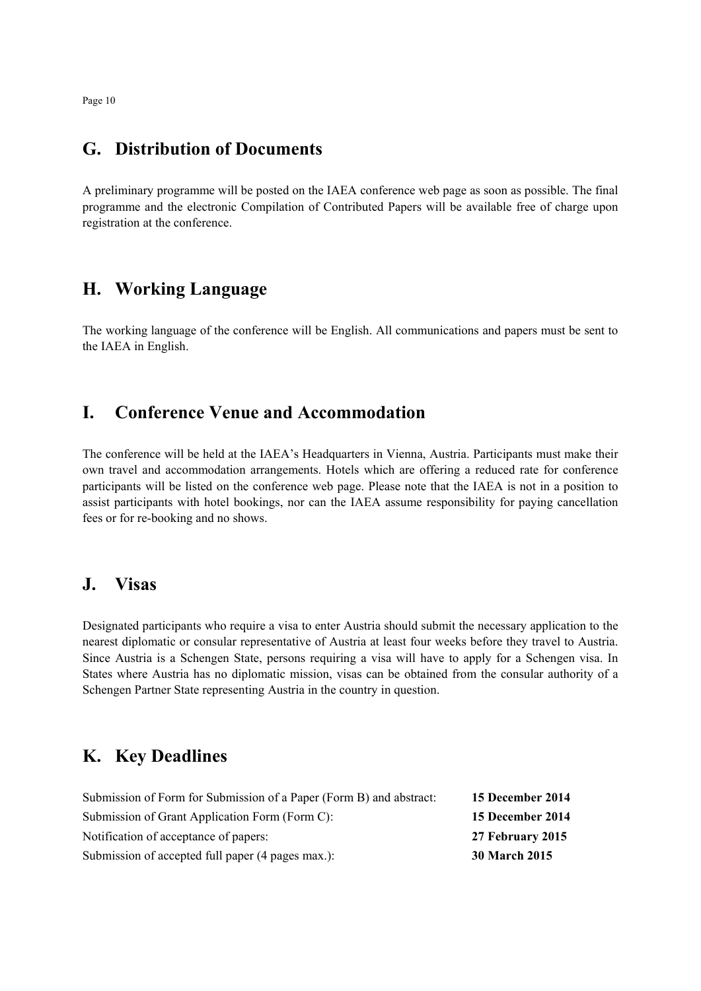Page 10

## **G. Distribution of Documents**

A preliminary programme will be posted on the IAEA conference web page as soon as possible. The final programme and the electronic Compilation of Contributed Papers will be available free of charge upon registration at the conference.

## **H. Working Language**

The working language of the conference will be English. All communications and papers must be sent to the IAEA in English.

## **I. Conference Venue and Accommodation**

The conference will be held at the IAEA's Headquarters in Vienna, Austria. Participants must make their own travel and accommodation arrangements. Hotels which are offering a reduced rate for conference participants will be listed on the conference web page. Please note that the IAEA is not in a position to assist participants with hotel bookings, nor can the IAEA assume responsibility for paying cancellation fees or for re-booking and no shows.

### **J. Visas**

Designated participants who require a visa to enter Austria should submit the necessary application to the nearest diplomatic or consular representative of Austria at least four weeks before they travel to Austria. Since Austria is a Schengen State, persons requiring a visa will have to apply for a Schengen visa. In States where Austria has no diplomatic mission, visas can be obtained from the consular authority of a Schengen Partner State representing Austria in the country in question.

## **K. Key Deadlines**

| Submission of Form for Submission of a Paper (Form B) and abstract: | 15 December 2014     |
|---------------------------------------------------------------------|----------------------|
| Submission of Grant Application Form (Form C):                      | 15 December 2014     |
| Notification of acceptance of papers:                               | 27 February 2015     |
| Submission of accepted full paper (4 pages max.):                   | <b>30 March 2015</b> |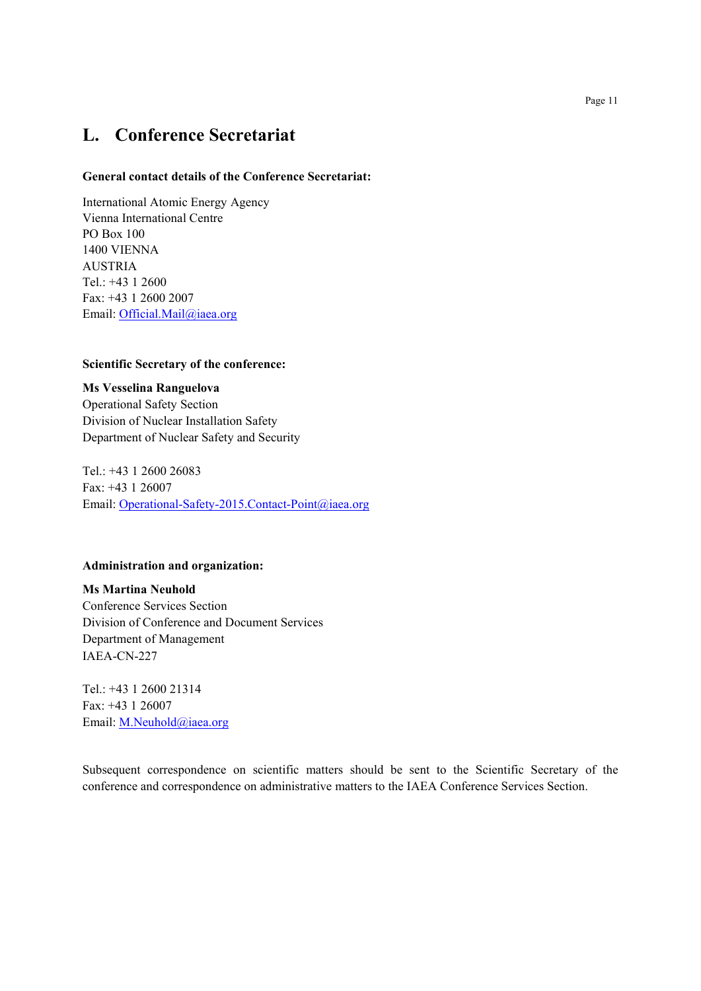## **L. Conference Secretariat**

#### **General contact details of the Conference Secretariat:**

International Atomic Energy Agency Vienna International Centre PO Box 100 1400 VIENNA AUSTRIA Tel.: +43 1 2600 Fax: +43 1 2600 2007 Email: Official.Mail@iaea.org

#### **Scientific Secretary of the conference:**

**Ms Vesselina Ranguelova**  Operational Safety Section Division of Nuclear Installation Safety Department of Nuclear Safety and Security

Tel.: +43 1 2600 26083 Fax: +43 1 26007 Email: Operational-Safety-2015.Contact-Point@iaea.org

#### **Administration and organization:**

**Ms Martina Neuhold**  Conference Services Section Division of Conference and Document Services Department of Management IAEA-CN-227

Tel.: +43 1 2600 21314 Fax: +43 1 26007 Email: M.Neuhold@iaea.org

Subsequent correspondence on scientific matters should be sent to the Scientific Secretary of the conference and correspondence on administrative matters to the IAEA Conference Services Section.